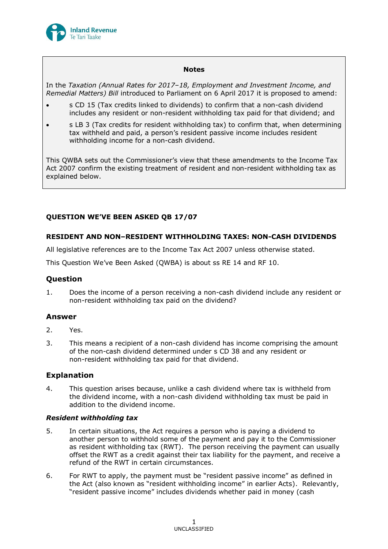

### **Notes**

In the *Taxation (Annual Rates for 2017–18, Employment and Investment Income, and Remedial Matters) Bill* introduced to Parliament on 6 April 2017 it is proposed to amend:

- s CD 15 (Tax credits linked to dividends) to confirm that a non-cash dividend includes any resident or non-resident withholding tax paid for that dividend; and
- s LB 3 (Tax credits for resident withholding tax) to confirm that, when determining tax withheld and paid, a person's resident passive income includes resident withholding income for a non-cash dividend.

This QWBA sets out the Commissioner's view that these amendments to the Income Tax Act 2007 confirm the existing treatment of resident and non-resident withholding tax as explained below.

## **QUESTION WE'VE BEEN ASKED QB 17/07**

## **RESIDENT AND NON–RESIDENT WITHHOLDING TAXES: NON-CASH DIVIDENDS**

All legislative references are to the Income Tax Act 2007 unless otherwise stated.

This Question We've Been Asked (QWBA) is about ss RE 14 and RF 10.

# **Question**

1. Does the income of a person receiving a non-cash dividend include any resident or non-resident withholding tax paid on the dividend?

## **Answer**

- 2. Yes.
- 3. This means a recipient of a non-cash dividend has income comprising the amount of the non-cash dividend determined under s CD 38 and any resident or non-resident withholding tax paid for that dividend.

## **Explanation**

4. This question arises because, unlike a cash dividend where tax is withheld from the dividend income, with a non-cash dividend withholding tax must be paid in addition to the dividend income.

### *Resident withholding tax*

- 5. In certain situations, the Act requires a person who is paying a dividend to another person to withhold some of the payment and pay it to the Commissioner as resident withholding tax (RWT). The person receiving the payment can usually offset the RWT as a credit against their tax liability for the payment, and receive a refund of the RWT in certain circumstances.
- 6. For RWT to apply, the payment must be "resident passive income" as defined in the Act (also known as "resident withholding income" in earlier Acts). Relevantly, "resident passive income" includes dividends whether paid in money (cash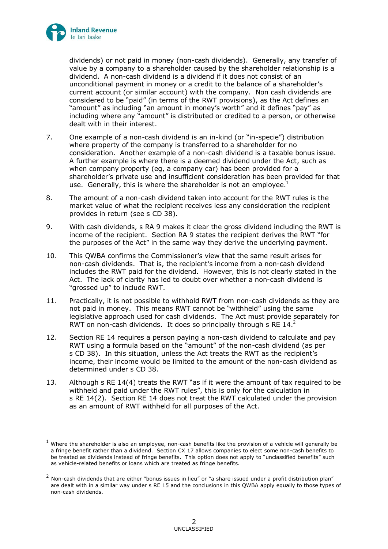

-

dividends) or not paid in money (non-cash dividends). Generally, any transfer of value by a company to a shareholder caused by the shareholder relationship is a dividend. A non-cash dividend is a dividend if it does not consist of an unconditional payment in money or a credit to the balance of a shareholder's current account (or similar account) with the company. Non cash dividends are considered to be "paid" (in terms of the RWT provisions), as the Act defines an "amount" as including "an amount in money's worth" and it defines "pay" as including where any "amount" is distributed or credited to a person, or otherwise dealt with in their interest.

- 7. One example of a non-cash dividend is an in-kind (or "in-specie") distribution where property of the company is transferred to a shareholder for no consideration. Another example of a non-cash dividend is a taxable bonus issue. A further example is where there is a deemed dividend under the Act, such as when company property (eg, a company car) has been provided for a shareholder's private use and insufficient consideration has been provided for that use. Generally, this is where the shareholder is not an employee. $<sup>1</sup>$ </sup>
- 8. The amount of a non-cash dividend taken into account for the RWT rules is the market value of what the recipient receives less any consideration the recipient provides in return (see s CD 38).
- <span id="page-1-0"></span>9. With cash dividends, s RA 9 makes it clear the gross dividend including the RWT is income of the recipient. Section RA 9 states the recipient derives the RWT "for the purposes of the Act" in the same way they derive the underlying payment.
- 10. This QWBA confirms the Commissioner's view that the same result arises for non-cash dividends. That is, the recipient's income from a non-cash dividend includes the RWT paid for the dividend. However, this is not clearly stated in the Act. The lack of clarity has led to doubt over whether a non-cash dividend is "grossed up" to include RWT.
- 11. Practically, it is not possible to withhold RWT from non-cash dividends as they are not paid in money. This means RWT cannot be "withheld" using the same legislative approach used for cash dividends. The Act must provide separately for RWT on non-cash dividends. It does so principally through s RE  $14.<sup>2</sup>$
- 12. Section RE 14 requires a person paying a non-cash dividend to calculate and pay RWT using a formula based on the "amount" of the non-cash dividend (as per s CD 38). In this situation, unless the Act treats the RWT as the recipient's income, their income would be limited to the amount of the non-cash dividend as determined under s CD 38.
- 13. Although s RE 14(4) treats the RWT "as if it were the amount of tax required to be withheld and paid under the RWT rules", this is only for the calculation in s RE 14(2). Section RE 14 does not treat the RWT calculated under the provision as an amount of RWT withheld for all purposes of the Act.

 $<sup>1</sup>$  Where the shareholder is also an employee, non-cash benefits like the provision of a vehicle will generally be</sup> a fringe benefit rather than a dividend. Section CX 17 allows companies to elect some non-cash benefits to be treated as dividends instead of fringe benefits. This option does not apply to "unclassified benefits" such as vehicle-related benefits or loans which are treated as fringe benefits.

 $2$  Non-cash dividends that are either "bonus issues in lieu" or "a share issued under a profit distribution plan" are dealt with in a similar way under s RE 15 and the conclusions in this QWBA apply equally to those types of non-cash dividends.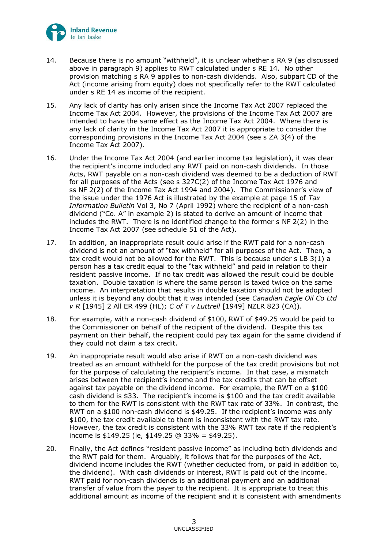

- 14. Because there is no amount "withheld", it is unclear whether s RA 9 (as discussed above in paragraph [9\)](#page-1-0) applies to RWT calculated under s RE 14. No other provision matching s RA 9 applies to non-cash dividends. Also, subpart CD of the Act (income arising from equity) does not specifically refer to the RWT calculated under s RE 14 as income of the recipient.
- 15. Any lack of clarity has only arisen since the Income Tax Act 2007 replaced the Income Tax Act 2004. However, the provisions of the Income Tax Act 2007 are intended to have the same effect as the Income Tax Act 2004. Where there is any lack of clarity in the Income Tax Act 2007 it is appropriate to consider the corresponding provisions in the Income Tax Act 2004 (see s ZA 3(4) of the Income Tax Act 2007).
- 16. Under the Income Tax Act 2004 (and earlier income tax legislation), it was clear the recipient's income included any RWT paid on non-cash dividends. In those Acts, RWT payable on a non-cash dividend was deemed to be a deduction of RWT for all purposes of the Acts (see s 327C(2) of the Income Tax Act 1976 and ss NF 2(2) of the Income Tax Act 1994 and 2004). The Commissioner's view of the issue under the 1976 Act is illustrated by the example at page 15 of *Tax Information Bulletin* Vol 3, No 7 (April 1992) where the recipient of a non-cash dividend ("Co. A" in example 2) is stated to derive an amount of income that includes the RWT. There is no identified change to the former s NF 2(2) in the Income Tax Act 2007 (see schedule 51 of the Act).
- 17. In addition, an inappropriate result could arise if the RWT paid for a non-cash dividend is not an amount of "tax withheld" for all purposes of the Act. Then, a tax credit would not be allowed for the RWT. This is because under s LB 3(1) a person has a tax credit equal to the "tax withheld" and paid in relation to their resident passive income. If no tax credit was allowed the result could be double taxation. Double taxation is where the same person is taxed twice on the same income. An interpretation that results in double taxation should not be adopted unless it is beyond any doubt that it was intended (see *Canadian Eagle Oil Co Ltd v R* [1945] 2 All ER 499 (HL); *C of T v Luttrell* [1949] NZLR 823 (CA)).
- 18. For example, with a non-cash dividend of \$100, RWT of \$49.25 would be paid to the Commissioner on behalf of the recipient of the dividend. Despite this tax payment on their behalf, the recipient could pay tax again for the same dividend if they could not claim a tax credit.
- 19. An inappropriate result would also arise if RWT on a non-cash dividend was treated as an amount withheld for the purpose of the tax credit provisions but not for the purpose of calculating the recipient's income. In that case, a mismatch arises between the recipient's income and the tax credits that can be offset against tax payable on the dividend income. For example, the RWT on a \$100 cash dividend is \$33. The recipient's income is \$100 and the tax credit available to them for the RWT is consistent with the RWT tax rate of 33%. In contrast, the RWT on a \$100 non-cash dividend is \$49.25. If the recipient's income was only \$100, the tax credit available to them is inconsistent with the RWT tax rate. However, the tax credit is consistent with the 33% RWT tax rate if the recipient's income is \$149.25 (ie, \$149.25 @ 33% = \$49.25).
- 20. Finally, the Act defines "resident passive income" as including both dividends and the RWT paid for them. Arguably, it follows that for the purposes of the Act, dividend income includes the RWT (whether deducted from, or paid in addition to, the dividend). With cash dividends or interest, RWT is paid out of the income. RWT paid for non-cash dividends is an additional payment and an additional transfer of value from the payer to the recipient. It is appropriate to treat this additional amount as income of the recipient and it is consistent with amendments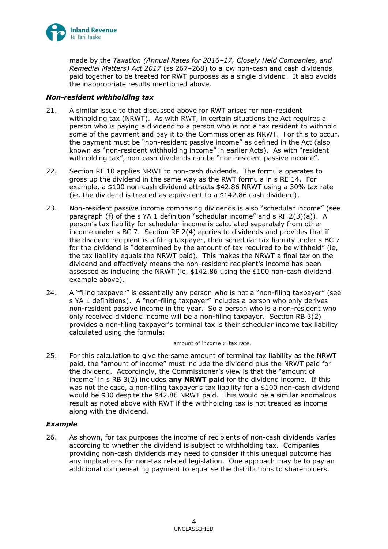

made by the *Taxation (Annual Rates for 2016–17, Closely Held Companies, and Remedial Matters) Act 2017* (ss 267–268) to allow non-cash and cash dividends paid together to be treated for RWT purposes as a single dividend. It also avoids the inappropriate results mentioned above.

### *Non-resident withholding tax*

- 21. A similar issue to that discussed above for RWT arises for non-resident withholding tax (NRWT). As with RWT, in certain situations the Act requires a person who is paying a dividend to a person who is not a tax resident to withhold some of the payment and pay it to the Commissioner as NRWT. For this to occur, the payment must be "non-resident passive income" as defined in the Act (also known as "non-resident withholding income" in earlier Acts). As with "resident withholding tax", non-cash dividends can be "non-resident passive income".
- 22. Section RF 10 applies NRWT to non-cash dividends. The formula operates to gross up the dividend in the same way as the RWT formula in s RE 14. For example, a \$100 non-cash dividend attracts \$42.86 NRWT using a 30% tax rate (ie, the dividend is treated as equivalent to a \$142.86 cash dividend).
- 23. Non-resident passive income comprising dividends is also "schedular income" (see paragraph (f) of the s YA 1 definition "schedular income" and s RF 2(3)(a)). A person's tax liability for schedular income is calculated separately from other income under s BC 7. Section RF 2(4) applies to dividends and provides that if the dividend recipient is a filing taxpayer, their schedular tax liability under s BC 7 for the dividend is "determined by the amount of tax required to be withheld" (ie, the tax liability equals the NRWT paid). This makes the NRWT a final tax on the dividend and effectively means the non-resident recipient's income has been assessed as including the NRWT (ie, \$142.86 using the \$100 non-cash dividend example above).
- 24. A "filing taxpayer" is essentially any person who is not a "non-filing taxpayer" (see s YA 1 definitions). A "non-filing taxpayer" includes a person who only derives non-resident passive income in the year. So a person who is a non-resident who only received dividend income will be a non-filing taxpayer. Section RB 3(2) provides a non-filing taxpayer's terminal tax is their schedular income tax liability calculated using the formula:

#### amount of income  $\times$  tax rate.

25. For this calculation to give the same amount of terminal tax liability as the NRWT paid, the "amount of income" must include the dividend plus the NRWT paid for the dividend. Accordingly, the Commissioner's view is that the "amount of income" in s RB 3(2) includes **any NRWT paid** for the dividend income. If this was not the case, a non-filing taxpayer's tax liability for a \$100 non-cash dividend would be \$30 despite the \$42.86 NRWT paid. This would be a similar anomalous result as noted above with RWT if the withholding tax is not treated as income along with the dividend.

## *Example*

26. As shown, for tax purposes the income of recipients of non-cash dividends varies according to whether the dividend is subject to withholding tax. Companies providing non-cash dividends may need to consider if this unequal outcome has any implications for non-tax related legislation. One approach may be to pay an additional compensating payment to equalise the distributions to shareholders.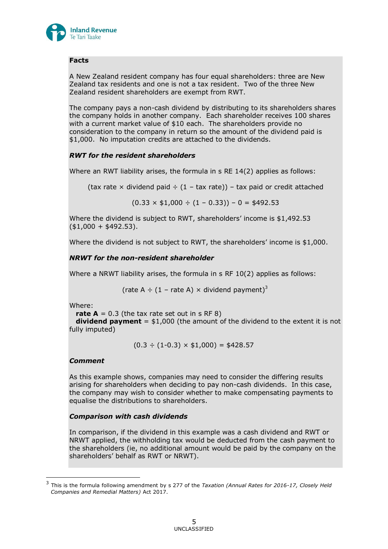

## **Facts**

A New Zealand resident company has four equal shareholders: three are New Zealand tax residents and one is not a tax resident. Two of the three New Zealand resident shareholders are exempt from RWT.

The company pays a non-cash dividend by distributing to its shareholders shares the company holds in another company. Each shareholder receives 100 shares with a current market value of \$10 each. The shareholders provide no consideration to the company in return so the amount of the dividend paid is \$1,000. No imputation credits are attached to the dividends.

## *RWT for the resident shareholders*

Where an RWT liability arises, the formula in s RE 14(2) applies as follows:

(tax rate  $\times$  dividend paid  $\div$  (1 – tax rate)) – tax paid or credit attached

 $(0.33 \times $1,000 \div (1 - 0.33)) - 0 = $492.53$ 

Where the dividend is subject to RWT, shareholders' income is \$1,492.53  $($ \$1,000 + \$492.53).

Where the dividend is not subject to RWT, the shareholders' income is \$1,000.

## *NRWT for the non-resident shareholder*

Where a NRWT liability arises, the formula in s RF 10(2) applies as follows:

(rate A  $\div$  (1 – rate A)  $\times$  dividend payment)<sup>3</sup>

Where:

**rate A** =  $0.3$  (the tax rate set out in s RF 8)

 **dividend payment** = \$1,000 (the amount of the dividend to the extent it is not fully imputed)

 $(0.3 \div (1 - 0.3) \times $1,000) = $428.57$ 

### *Comment*

-

As this example shows, companies may need to consider the differing results arising for shareholders when deciding to pay non-cash dividends. In this case, the company may wish to consider whether to make compensating payments to equalise the distributions to shareholders.

### *Comparison with cash dividends*

In comparison, if the dividend in this example was a cash dividend and RWT or NRWT applied, the withholding tax would be deducted from the cash payment to the shareholders (ie, no additional amount would be paid by the company on the shareholders' behalf as RWT or NRWT).

<sup>3</sup> This is the formula following amendment by s 277 of the *Taxation (Annual Rates for 2016-17, Closely Held Companies and Remedial Matters)* Act 2017.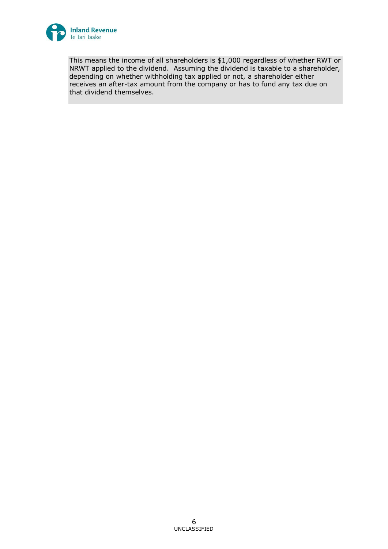

This means the income of all shareholders is \$1,000 regardless of whether RWT or NRWT applied to the dividend. Assuming the dividend is taxable to a shareholder, depending on whether withholding tax applied or not, a shareholder either receives an after-tax amount from the company or has to fund any tax due on that dividend themselves.